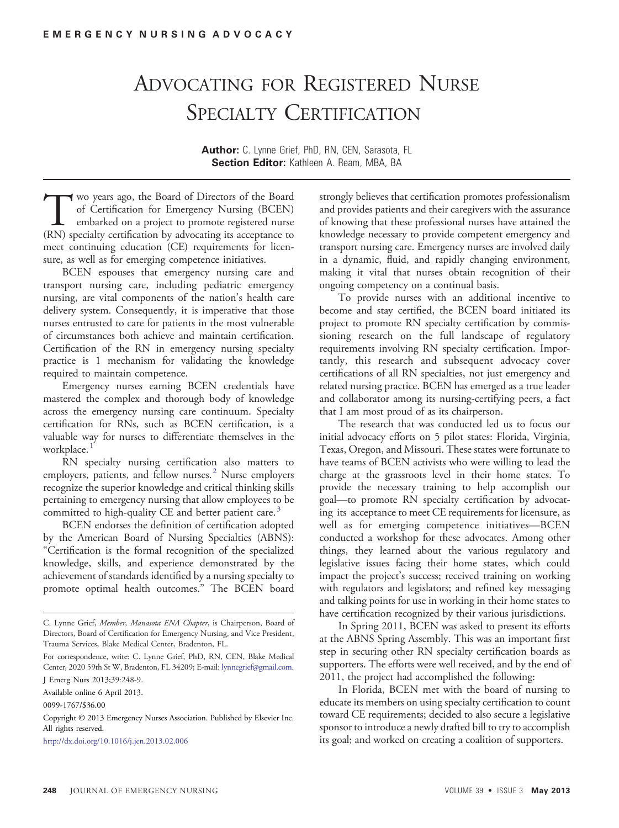## ADVOCATING FOR REGISTERED NURSE SPECIALTY CERTIFICATION

Author: C. Lynne Grief, PhD, RN, CEN, Sarasota, FL Section Editor: Kathleen A. Ream, MBA, BA

Two years ago, the Board of Directors of the Board<br>of Certification for Emergency Nursing (BCEN)<br>embarked on a project to promote registered nurse<br>(RN) specialty certification by advocating its acceptance to of Certification for Emergency Nursing (BCEN) embarked on a project to promote registered nurse (RN) specialty certification by advocating its acceptance to meet continuing education (CE) requirements for licensure, as well as for emerging competence initiatives.

BCEN espouses that emergency nursing care and transport nursing care, including pediatric emergency nursing, are vital components of the nation's health care delivery system. Consequently, it is imperative that those nurses entrusted to care for patients in the most vulnerable of circumstances both achieve and maintain certification. Certification of the RN in emergency nursing specialty practice is 1 mechanism for validating the knowledge required to maintain competence.

Emergency nurses earning BCEN credentials have mastered the complex and thorough body of knowledge across the emergency nursing care continuum. Specialty certification for RNs, such as BCEN certification, is a valuable way for nurses to differentiate themselves in the workplace[.](#page-1-0)<sup>[1](#page-1-0)</sup>

RN specialty nursing certification also matters to employers, patients, and fellow nurses[.](#page-1-0)<sup>[2](#page-1-0)</sup> Nurse employers recognize the superior knowledge and critical thinking skills pertaining to emergency nursing that allow employees to be committed to high-quality CE and better patient care[.](#page-1-0)<sup>[3](#page-1-0)</sup>

BCEN endorses the definition of certification adopted by the American Board of Nursing Specialties (ABNS): "Certification is the formal recognition of the specialized knowledge, skills, and experience demonstrated by the achievement of standards identified by a nursing specialty to promote optimal health outcomes." The BCEN board

http://dx.doi.org/10.1016/j.jen.2013.02.006

strongly believes that certification promotes professionalism and provides patients and their caregivers with the assurance of knowing that these professional nurses have attained the knowledge necessary to provide competent emergency and transport nursing care. Emergency nurses are involved daily in a dynamic, fluid, and rapidly changing environment, making it vital that nurses obtain recognition of their ongoing competency on a continual basis.

To provide nurses with an additional incentive to become and stay certified, the BCEN board initiated its project to promote RN specialty certification by commissioning research on the full landscape of regulatory requirements involving RN specialty certification. Importantly, this research and subsequent advocacy cover certifications of all RN specialties, not just emergency and related nursing practice. BCEN has emerged as a true leader and collaborator among its nursing-certifying peers, a fact that I am most proud of as its chairperson.

The research that was conducted led us to focus our initial advocacy efforts on 5 pilot states: Florida, Virginia, Texas, Oregon, and Missouri. These states were fortunate to have teams of BCEN activists who were willing to lead the charge at the grassroots level in their home states. To provide the necessary training to help accomplish our goal—to promote RN specialty certification by advocating its acceptance to meet CE requirements for licensure, as well as for emerging competence initiatives—BCEN conducted a workshop for these advocates. Among other things, they learned about the various regulatory and legislative issues facing their home states, which could impact the project's success; received training on working with regulators and legislators; and refined key messaging and talking points for use in working in their home states to have certification recognized by their various jurisdictions.

In Spring 2011, BCEN was asked to present its efforts at the ABNS Spring Assembly. This was an important first step in securing other RN specialty certification boards as supporters. The efforts were well received, and by the end of 2011, the project had accomplished the following:

In Florida, BCEN met with the board of nursing to educate its members on using specialty certification to count toward CE requirements; decided to also secure a legislative sponsor to introduce a newly drafted bill to try to accomplish its goal; and worked on creating a coalition of supporters.

C. Lynne Grief, Member, Manasota ENA Chapter, is Chairperson, Board of Directors, Board of Certification for Emergency Nursing, and Vice President, Trauma Services, Blake Medical Center, Bradenton, FL.

For correspondence, write: C. Lynne Grief, PhD, RN, CEN, Blake Medical Center, 2020 59th St W, Bradenton, FL 34209; E-mail: lynnegrief@gmail.com.

J Emerg Nurs 2013;39:248-9.

Available online 6 April 2013.

<sup>0099-1767/\$36.00</sup>

Copyright © 2013 Emergency Nurses Association. Published by Elsevier Inc. All rights reserved.